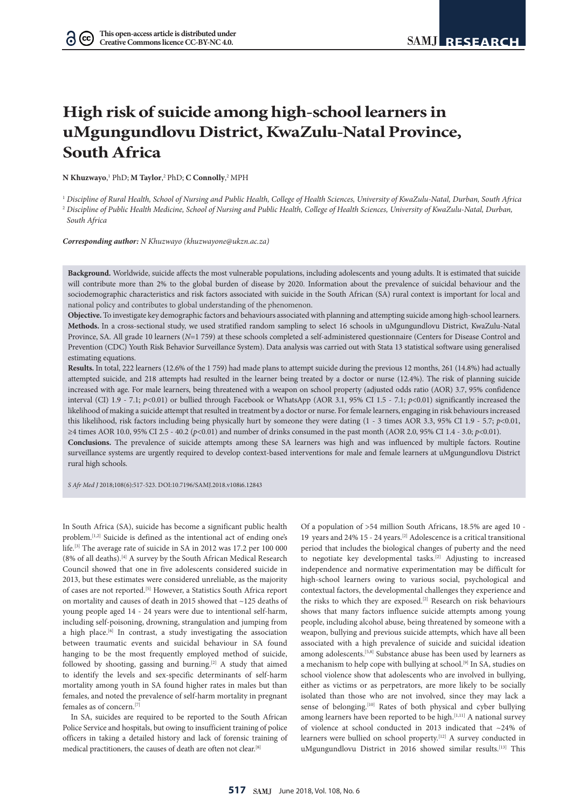# **High risk of suicide among high-school learners in uMgungundlovu District, KwaZulu-Natal Province, South Africa**

**N Khuzwayo**, 1 PhD; **M Taylor**, <sup>2</sup> PhD; **C Connolly**, <sup>2</sup> MPH

<sup>1</sup> *Discipline of Rural Health, School of Nursing and Public Health, College of Health Sciences, University of KwaZulu-Natal, Durban, South Africa*

<sup>2</sup> *Discipline of Public Health Medicine, School of Nursing and Public Health, College of Health Sciences, University of KwaZulu-Natal, Durban, South Africa*

*Corresponding author: N Khuzwayo (khuzwayone@ukzn.ac.za)*

**Background.** Worldwide, suicide affects the most vulnerable populations, including adolescents and young adults. It is estimated that suicide will contribute more than 2% to the global burden of disease by 2020. Information about the prevalence of suicidal behaviour and the sociodemographic characteristics and risk factors associated with suicide in the South African (SA) rural context is important for local and national policy and contributes to global understanding of the phenomenon.

**Objective.** To investigate key demographic factors and behaviours associated with planning and attempting suicide among high-school learners. **Methods.** In a cross-sectional study, we used stratified random sampling to select 16 schools in uMgungundlovu District, KwaZulu-Natal Province, SA. All grade 10 learners (N=1 759) at these schools completed a self-administered questionnaire (Centers for Disease Control and Prevention (CDC) Youth Risk Behavior Surveillance System). Data analysis was carried out with Stata 13 statistical software using generalised estimating equations.

**Results.** In total, 222 learners (12.6% of the 1 759) had made plans to attempt suicide during the previous 12 months, 261 (14.8%) had actually attempted suicide, and 218 attempts had resulted in the learner being treated by a doctor or nurse (12.4%). The risk of planning suicide increased with age. For male learners, being threatened with a weapon on school property (adjusted odds ratio (AOR) 3.7, 95% confidence interval (CI) 1.9 - 7.1; *p*<0.01) or bullied through Facebook or WhatsApp (AOR 3.1, 95% CI 1.5 - 7.1; *p*<0.01) significantly increased the likelihood of making a suicide attempt that resulted in treatment by a doctor or nurse. For female learners, engaging in risk behaviours increased this likelihood, risk factors including being physically hurt by someone they were dating (1 - 3 times AOR 3.3, 95% CI 1.9 - 5.7; *p*<0.01, ≥4 times AOR 10.0, 95% CI 2.5 - 40.2 (*p*<0.01) and number of drinks consumed in the past month (AOR 2.0, 95% CI 1.4 - 3.0; *p*<0.01). **Conclusions.** The prevalence of suicide attempts among these SA learners was high and was influenced by multiple factors. Routine surveillance systems are urgently required to develop context-based interventions for male and female learners at uMgungundlovu District

rural high schools.

*S Afr Med J* 2018;108(6):517-523. DOI:10.7196/SAMJ.2018.v108i6.12843

In South Africa (SA), suicide has become a significant public health problem.[1,2] Suicide is defined as the intentional act of ending one's life.<sup>[3]</sup> The average rate of suicide in SA in 2012 was 17.2 per 100 000 (8% of all deaths).[4] A survey by the South African Medical Research Council showed that one in five adolescents considered suicide in 2013, but these estimates were considered unreliable, as the majority of cases are not reported.[5] However, a Statistics South Africa report on mortality and causes of death in 2015 showed that ~125 deaths of young people aged 14 - 24 years were due to intentional self-harm, including self-poisoning, drowning, strangulation and jumping from a high place.<sup>[6]</sup> In contrast, a study investigating the association between traumatic events and suicidal behaviour in SA found hanging to be the most frequently employed method of suicide, followed by shooting, gassing and burning.<sup>[2]</sup> A study that aimed to identify the levels and sex-specific determinants of self-harm mortality among youth in SA found higher rates in males but than females, and noted the prevalence of self-harm mortality in pregnant females as of concern.[7]

In SA, suicides are required to be reported to the South African Police Service and hospitals, but owing to insufficient training of police officers in taking a detailed history and lack of forensic training of medical practitioners, the causes of death are often not clear.[8]

Of a population of >54 million South Africans, 18.5% are aged 10 - 19 years and 24% 15 - 24 years.[2] Adolescence is a critical transitional period that includes the biological changes of puberty and the need to negotiate key developmental tasks.[2] Adjusting to increased independence and normative experimentation may be difficult for high-school learners owing to various social, psychological and contextual factors, the developmental challenges they experience and the risks to which they are exposed.<sup>[2]</sup> Research on risk behaviours shows that many factors influence suicide attempts among young people, including alcohol abuse, being threatened by someone with a weapon, bullying and previous suicide attempts, which have all been associated with a high prevalence of suicide and suicidal ideation among adolescents.<sup>[5,8]</sup> Substance abuse has been used by learners as a mechanism to help cope with bullying at school.<sup>[9]</sup> In SA, studies on school violence show that adolescents who are involved in bullying, either as victims or as perpetrators, are more likely to be socially isolated than those who are not involved, since they may lack a sense of belonging.<sup>[10]</sup> Rates of both physical and cyber bullying among learners have been reported to be high.<sup>[1,11]</sup> A national survey of violence at school conducted in 2013 indicated that ~24% of learners were bullied on school property.<sup>[12]</sup> A survey conducted in uMgungundlovu District in 2016 showed similar results.<sup>[13]</sup> This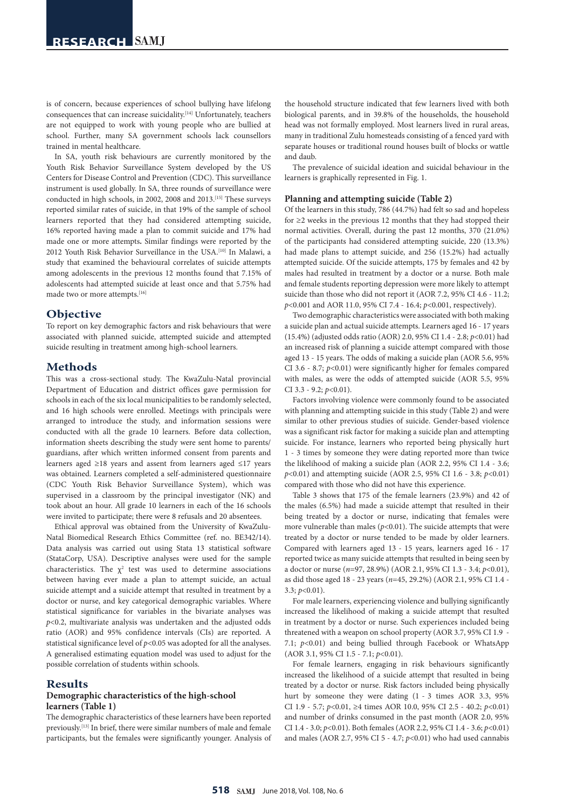is of concern, because experiences of school bullying have lifelong consequences that can increase suicidality.[14] Unfortunately, teachers are not equipped to work with young people who are bullied at school. Further, many SA government schools lack counsellors trained in mental healthcare.

In SA, youth risk behaviours are currently monitored by the Youth Risk Behavior Surveillance System developed by the US Centers for Disease Control and Prevention (CDC). This surveillance instrument is used globally. In SA, three rounds of surveillance were conducted in high schools, in 2002, 2008 and 2013.[15] These surveys reported similar rates of suicide, in that 19% of the sample of school learners reported that they had considered attempting suicide, 16% reported having made a plan to commit suicide and 17% had made one or more attempts**.** Similar findings were reported by the 2012 Youth Risk Behavior Surveillance in the USA.<sup>[10]</sup> In Malawi, a study that examined the behavioural correlates of suicide attempts among adolescents in the previous 12 months found that 7.15% of adolescents had attempted suicide at least once and that 5.75% had made two or more attempts.<sup>[16]</sup>

# **Objective**

To report on key demographic factors and risk behaviours that were associated with planned suicide, attempted suicide and attempted suicide resulting in treatment among high-school learners.

# **Methods**

This was a cross-sectional study. The KwaZulu-Natal provincial Department of Education and district offices gave permission for schools in each of the six local municipalities to be randomly selected, and 16 high schools were enrolled. Meetings with principals were arranged to introduce the study, and information sessions were conducted with all the grade 10 learners. Before data collection, information sheets describing the study were sent home to parents/ guardians, after which written informed consent from parents and learners aged ≥18 years and assent from learners aged ≤17 years was obtained. Learners completed a self-administered questionnaire (CDC Youth Risk Behavior Surveillance System), which was supervised in a classroom by the principal investigator (NK) and took about an hour. All grade 10 learners in each of the 16 schools were invited to participate; there were 8 refusals and 20 absentees.

Ethical approval was obtained from the University of KwaZulu-Natal Biomedical Research Ethics Committee (ref. no. BE342/14). Data analysis was carried out using Stata 13 statistical software (StataCorp, USA). Descriptive analyses were used for the sample characteristics. The  $\chi^2$  test was used to determine associations between having ever made a plan to attempt suicide, an actual suicide attempt and a suicide attempt that resulted in treatment by a doctor or nurse, and key categorical demographic variables. Where statistical significance for variables in the bivariate analyses was *p*<0.2, multivariate analysis was undertaken and the adjusted odds ratio (AOR) and 95% confidence intervals (CIs) are reported. A statistical significance level of  $p$ <0.05 was adopted for all the analyses. A generalised estimating equation model was used to adjust for the possible correlation of students within schools.

# **Results**

## **Demographic characteristics of the high-school learners (Table 1)**

The demographic characteristics of these learners have been reported previously.[13] In brief, there were similar numbers of male and female participants, but the females were significantly younger. Analysis of the household structure indicated that few learners lived with both biological parents, and in 39.8% of the households, the household head was not formally employed. Most learners lived in rural areas, many in traditional Zulu homesteads consisting of a fenced yard with separate houses or traditional round houses built of blocks or wattle and daub.

The prevalence of suicidal ideation and suicidal behaviour in the learners is graphically represented in Fig. 1.

### **Planning and attempting suicide (Table 2)**

Of the learners in this study, 786 (44.7%) had felt so sad and hopeless for ≥2 weeks in the previous 12 months that they had stopped their normal activities. Overall, during the past 12 months, 370 (21.0%) of the participants had considered attempting suicide, 220 (13.3%) had made plans to attempt suicide, and 256 (15.2%) had actually attempted suicide. Of the suicide attempts, 175 by females and 42 by males had resulted in treatment by a doctor or a nurse. Both male and female students reporting depression were more likely to attempt suicide than those who did not report it (AOR 7.2, 95% CI 4.6 - 11.2; *p*<0.001 and AOR 11.0, 95% CI 7.4 - 16.4; *p*<0.001, respectively).

Two demographic characteristics were associated with both making a suicide plan and actual suicide attempts. Learners aged 16 - 17 years (15.4%) (adjusted odds ratio (AOR) 2.0, 95% CI 1.4 - 2.8; *p*<0.01) had an increased risk of planning a suicide attempt compared with those aged 13 - 15 years. The odds of making a suicide plan (AOR 5.6, 95% CI 3.6 - 8.7;  $p<0.01$ ) were significantly higher for females compared with males, as were the odds of attempted suicide (AOR 5.5, 95% CI 3.3 - 9.2; *p*<0.01).

Factors involving violence were commonly found to be associated with planning and attempting suicide in this study (Table 2) and were similar to other previous studies of suicide. Gender-based violence was a significant risk factor for making a suicide plan and attempting suicide. For instance, learners who reported being physically hurt 1 - 3 times by someone they were dating reported more than twice the likelihood of making a suicide plan (AOR 2.2, 95% CI 1.4 - 3.6; *p*<0.01) and attempting suicide (AOR 2.5, 95% CI 1.6 - 3.8; *p*<0.01) compared with those who did not have this experience.

Table 3 shows that 175 of the female learners (23.9%) and 42 of the males (6.5%) had made a suicide attempt that resulted in their being treated by a doctor or nurse, indicating that females were more vulnerable than males  $(p<0.01)$ . The suicide attempts that were treated by a doctor or nurse tended to be made by older learners. Compared with learners aged 13 - 15 years, learners aged 16 - 17 reported twice as many suicide attempts that resulted in being seen by a doctor or nurse (*n*=97, 28.9%) (AOR 2.1, 95% CI 1.3 - 3.4; *p*<0.01), as did those aged 18 - 23 years (*n*=45, 29.2%) (AOR 2.1, 95% CI 1.4 -  $3.3$ ;  $p < 0.01$ ).

For male learners, experiencing violence and bullying significantly increased the likelihood of making a suicide attempt that resulted in treatment by a doctor or nurse. Such experiences included being threatened with a weapon on school property (AOR 3.7, 95% CI 1.9 - 7.1; *p*<0.01) and being bullied through Facebook or WhatsApp (AOR 3.1, 95% CI 1.5 - 7.1; *p*<0.01).

For female learners, engaging in risk behaviours significantly increased the likelihood of a suicide attempt that resulted in being treated by a doctor or nurse. Risk factors included being physically hurt by someone they were dating (1 - 3 times AOR 3.3, 95% CI 1.9 - 5.7; *p*<0.01, ≥4 times AOR 10.0, 95% CI 2.5 - 40.2; *p*<0.01) and number of drinks consumed in the past month (AOR 2.0, 95% CI 1.4 - 3.0; *p*<0.01). Both females (AOR 2.2, 95% CI 1.4 - 3.6; *p*<0.01) and males (AOR 2.7, 95% CI 5 - 4.7; *p*<0.01) who had used cannabis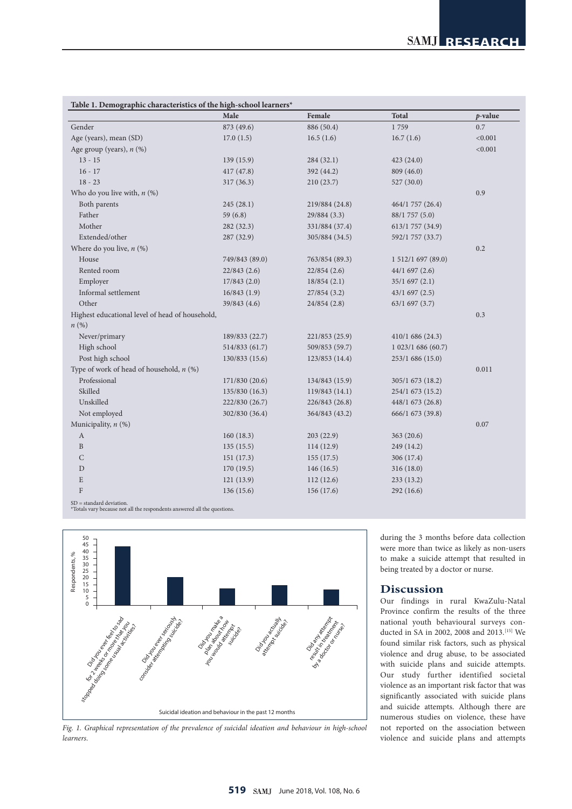|                                                 | Male           | Female         | <b>Total</b>       | $p$ -value |
|-------------------------------------------------|----------------|----------------|--------------------|------------|
| Gender                                          | 873 (49.6)     | 886 (50.4)     | 1759               | 0.7        |
| Age (years), mean (SD)                          | 17.0(1.5)      | 16.5(1.6)      | 16.7(1.6)          | < 0.001    |
| Age group (years), $n$ (%)                      |                |                |                    | < 0.001    |
| $13 - 15$                                       | 139(15.9)      | 284 (32.1)     | 423(24.0)          |            |
| $16 - 17$                                       | 417 (47.8)     | 392 (44.2)     | 809 (46.0)         |            |
| $18 - 23$                                       | 317 (36.3)     | 210 (23.7)     | 527(30.0)          |            |
| Who do you live with, $n$ (%)                   |                |                |                    | 0.9        |
| Both parents                                    | 245(28.1)      | 219/884 (24.8) | 464/1 757 (26.4)   |            |
| Father                                          | 59 (6.8)       | 29/884 (3.3)   | 88/1 757 (5.0)     |            |
| Mother                                          | 282 (32.3)     | 331/884 (37.4) | 613/1 757 (34.9)   |            |
| Extended/other                                  | 287 (32.9)     | 305/884 (34.5) | 592/1 757 (33.7)   |            |
| Where do you live, $n$ (%)                      |                |                |                    | 0.2        |
| House                                           | 749/843 (89.0) | 763/854 (89.3) | 1 512/1 697 (89.0) |            |
| Rented room                                     | 22/843(2.6)    | 22/854(2.6)    | $44/1$ 697 (2.6)   |            |
| Employer                                        | 17/843(2.0)    | 18/854(2.1)    | 35/1697(2.1)       |            |
| Informal settlement                             | 16/843(1.9)    | 27/854(3.2)    | $43/1$ 697 (2.5)   |            |
| Other                                           | 39/843 (4.6)   | 24/854(2.8)    | 63/1697(3.7)       |            |
| Highest educational level of head of household, |                |                |                    | 0.3        |
| $n\left(\%\right)$                              |                |                |                    |            |
| Never/primary                                   | 189/833 (22.7) | 221/853 (25.9) | 410/1 686 (24.3)   |            |
| High school                                     | 514/833 (61.7) | 509/853 (59.7) | 1 023/1 686 (60.7) |            |
| Post high school                                | 130/833 (15.6) | 123/853 (14.4) | 253/1 686 (15.0)   |            |
| Type of work of head of household, $n$ (%)      |                |                |                    | 0.011      |
| Professional                                    | 171/830 (20.6) | 134/843 (15.9) | 305/1 673 (18.2)   |            |
| Skilled                                         | 135/830 (16.3) | 119/843 (14.1) | 254/1 673 (15.2)   |            |
| Unskilled                                       | 222/830 (26.7) | 226/843 (26.8) | 448/1 673 (26.8)   |            |
| Not employed                                    | 302/830 (36.4) | 364/843 (43.2) | 666/1 673 (39.8)   |            |
| Municipality, n (%)                             |                |                |                    | 0.07       |
| A                                               | 160(18.3)      | 203(22.9)      | 363(20.6)          |            |
| $\mathbf B$                                     | 135(15.5)      | 114(12.9)      | 249 (14.2)         |            |
| $\mathbf C$                                     | 151(17.3)      | 155(17.5)      | 306 (17.4)         |            |
| $\mathbf D$                                     | 170(19.5)      | 146(16.5)      | 316(18.0)          |            |
| E                                               | 121(13.9)      | 112(12.6)      | 233(13.2)          |            |
| $\boldsymbol{\mathrm{F}}$                       | 136(15.6)      | 156(17.6)      | 292(16.6)          |            |

SD = standard deviation. \*Totals vary because not all the respondents answered all the questions.





during the 3 months before data collection were more than twice as likely as non-users to make a suicide attempt that resulted in being treated by a doctor or nurse.

# **Discussion**

Our findings in rural KwaZulu-Natal Province confirm the results of the three national youth behavioural surveys conducted in SA in 2002, 2008 and 2013.[15] We found similar risk factors, such as physical violence and drug abuse, to be associated with suicide plans and suicide attempts. Our study further identified societal violence as an important risk factor that was significantly associated with suicide plans and suicide attempts. Although there are numerous studies on violence, these have not reported on the association between violence and suicide plans and attempts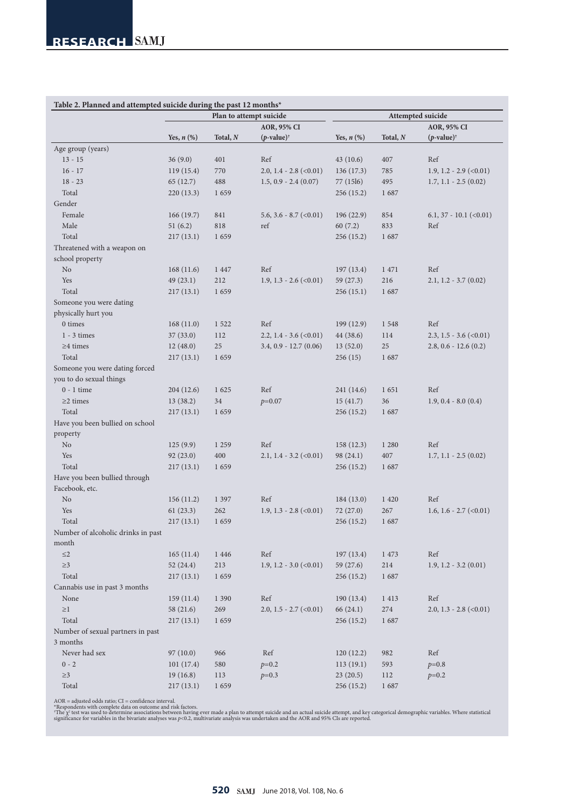| Plan to attempt suicide<br>Attempted suicide<br>AOR, 95% CI<br>AOR, 95% CI<br>$(p$ -value) <sup>†</sup><br>$(p$ -value) <sup>†</sup><br>Yes, $n$ $(\%)$<br>Total, $N$<br>Yes, $n$ $(\%)$<br>Total, $N$<br>Age group (years)<br>$13 - 15$<br>401<br>Ref<br>407<br>Ref<br>36(9.0)<br>43 (10.6)<br>$16 - 17$<br>119 (15.4)<br>770<br>$2.0, 1.4 - 2.8$ (<0.01)<br>136(17.3)<br>785<br>1.9, 1.2 - 2.9 $(0.01)$<br>$18 - 23$<br>65(12.7)<br>488<br>$1.5, 0.9 - 2.4(0.07)$<br>77 (1516)<br>495<br>$1.7, 1.1 - 2.5(0.02)$<br>Total<br>1659<br>256 (15.2)<br>1687<br>220(13.3)<br>Gender<br>Female<br>166(19.7)<br>841<br>$5.6, 3.6 - 8.7 \approx 0.01$<br>196(22.9)<br>854<br>$6.1, 37 - 10.1$ (<0.01)<br>Male<br>51(6.2)<br>818<br>ref<br>60(7.2)<br>833<br>Ref<br>Total<br>1659<br>217(13.1)<br>256(15.2)<br>1687<br>Threatened with a weapon on<br>school property<br>N <sub>o</sub><br>Ref<br>Ref<br>168(11.6)<br>1447<br>197(13.4)<br>1471<br>Yes<br>49(23.1)<br>212<br>59 $(27.3)$<br>216<br>1.9, 1.3 - 2.6 $(<0.01)$<br>$2.1, 1.2 - 3.7(0.02)$<br>Total<br>1659<br>1687<br>217(13.1)<br>256(15.1)<br>Someone you were dating<br>physically hurt you<br>Ref<br>0 times<br>Ref<br>1 5 4 8<br>168(11.0)<br>1 5 2 2<br>199(12.9)<br>$1 - 3$ times<br>112<br>2.2, 1.4 - 3.6 $(<0.01$ )<br>44 (38.6)<br>114<br>37(33.0)<br>$2.3, 1.5 - 3.6 \; (<0.01)$<br>25<br>$\geq$ 4 times<br>12(48.0)<br>$3.4, 0.9 - 12.7$ $(0.06)$<br>13(52.0)<br>25<br>$2.8, 0.6 - 12.6(0.2)$<br>Total<br>1659<br>1687<br>217(13.1)<br>256(15)<br>Someone you were dating forced<br>you to do sexual things<br>Ref<br>$0 - 1$ time<br>204 (12.6)<br>1 625<br>1651<br>Ref<br>241 (14.6)<br>$\geq$ 2 times<br>13(38.2)<br>34<br>$p=0.07$<br>15(41.7)<br>36<br>$1.9, 0.4 - 8.0(0.4)$<br>Total<br>1659<br>1687<br>217(13.1)<br>256 (15.2)<br>Have you been bullied on school<br>property<br>N <sub>o</sub><br>125(9.9)<br>1 2 5 9<br>Ref<br>1 2 8 0<br>Ref<br>158(12.3)<br>Yes<br>407<br>92(23.0)<br>400<br>$2.1, 1.4 - 3.2$ (<0.01)<br>98 (24.1)<br>$1.7, 1.1 - 2.5(0.02)$<br>Total<br>217(13.1)<br>1659<br>256 (15.2)<br>1687<br>Have you been bullied through<br>Facebook, etc.<br>N <sub>o</sub><br>156(11.2)<br>1 3 9 7<br>Ref<br>1 4 2 0<br>Ref<br>184(13.0)<br>Yes<br>61(23.3)<br>262<br>1.9, 1.3 - 2.8 $(<0.01$ )<br>267<br>72 (27.0)<br>1.6, 1.6 - 2.7 $(<0.01$ )<br>1659<br>256 (15.2)<br>1687<br>Total<br>217(13.1)<br>Number of alcoholic drinks in past<br>month<br>$\leq$ 2<br>Ref<br>Ref<br>165(11.4)<br>1 4 4 6<br>197(13.4)<br>1 473<br>$\geq$ 3<br>52(24.4)<br>213<br>$1.9, 1.2 - 3.0$ (<0.01)<br>214<br>59 (27.6)<br>$1.9, 1.2 - 3.2(0.01)$<br>Total<br>1659<br>1687<br>217(13.1)<br>256 (15.2)<br>Cannabis use in past 3 months<br>$\operatorname{Ref}$<br>Ref<br>None<br>1 3 9 0<br>159(11.4)<br>190(13.4)<br>1 4 1 3<br>$\geq$ 1<br>269<br>58(21.6)<br>66(24.1)<br>274<br>$2.0, 1.5 - 2.7 \approx (0.01)$<br>$2.0, 1.3 - 2.8 \approx (0.01)$<br>Total<br>1659<br>256(15.2)<br>1687<br>217(13.1)<br>Number of sexual partners in past<br>3 months<br>Never had sex<br>Ref<br>Ref<br>966<br>982<br>97(10.0)<br>120(12.2)<br>$0 - 2$<br>580<br>$p=0.2$<br>593<br>$p=0.8$<br>101(17.4)<br>113(19.1)<br>$\geq$ 3<br>113<br>112 | Table 2. Planned and attempted suicide during the past 12 months* |          |  |         |          |  |         |  |
|-------------------------------------------------------------------------------------------------------------------------------------------------------------------------------------------------------------------------------------------------------------------------------------------------------------------------------------------------------------------------------------------------------------------------------------------------------------------------------------------------------------------------------------------------------------------------------------------------------------------------------------------------------------------------------------------------------------------------------------------------------------------------------------------------------------------------------------------------------------------------------------------------------------------------------------------------------------------------------------------------------------------------------------------------------------------------------------------------------------------------------------------------------------------------------------------------------------------------------------------------------------------------------------------------------------------------------------------------------------------------------------------------------------------------------------------------------------------------------------------------------------------------------------------------------------------------------------------------------------------------------------------------------------------------------------------------------------------------------------------------------------------------------------------------------------------------------------------------------------------------------------------------------------------------------------------------------------------------------------------------------------------------------------------------------------------------------------------------------------------------------------------------------------------------------------------------------------------------------------------------------------------------------------------------------------------------------------------------------------------------------------------------------------------------------------------------------------------------------------------------------------------------------------------------------------------------------------------------------------------------------------------------------------------------------------------------------------------------------------------------------------------------------------------------------------------------------------------------------------------------------------------------------------------------------------------------------------------------------------------------------------------------------------------------------------------------------------------------------------------------------------------------------------------------------------------------------------|-------------------------------------------------------------------|----------|--|---------|----------|--|---------|--|
|                                                                                                                                                                                                                                                                                                                                                                                                                                                                                                                                                                                                                                                                                                                                                                                                                                                                                                                                                                                                                                                                                                                                                                                                                                                                                                                                                                                                                                                                                                                                                                                                                                                                                                                                                                                                                                                                                                                                                                                                                                                                                                                                                                                                                                                                                                                                                                                                                                                                                                                                                                                                                                                                                                                                                                                                                                                                                                                                                                                                                                                                                                                                                                                                             |                                                                   |          |  |         |          |  |         |  |
|                                                                                                                                                                                                                                                                                                                                                                                                                                                                                                                                                                                                                                                                                                                                                                                                                                                                                                                                                                                                                                                                                                                                                                                                                                                                                                                                                                                                                                                                                                                                                                                                                                                                                                                                                                                                                                                                                                                                                                                                                                                                                                                                                                                                                                                                                                                                                                                                                                                                                                                                                                                                                                                                                                                                                                                                                                                                                                                                                                                                                                                                                                                                                                                                             |                                                                   |          |  |         |          |  |         |  |
|                                                                                                                                                                                                                                                                                                                                                                                                                                                                                                                                                                                                                                                                                                                                                                                                                                                                                                                                                                                                                                                                                                                                                                                                                                                                                                                                                                                                                                                                                                                                                                                                                                                                                                                                                                                                                                                                                                                                                                                                                                                                                                                                                                                                                                                                                                                                                                                                                                                                                                                                                                                                                                                                                                                                                                                                                                                                                                                                                                                                                                                                                                                                                                                                             |                                                                   |          |  |         |          |  |         |  |
|                                                                                                                                                                                                                                                                                                                                                                                                                                                                                                                                                                                                                                                                                                                                                                                                                                                                                                                                                                                                                                                                                                                                                                                                                                                                                                                                                                                                                                                                                                                                                                                                                                                                                                                                                                                                                                                                                                                                                                                                                                                                                                                                                                                                                                                                                                                                                                                                                                                                                                                                                                                                                                                                                                                                                                                                                                                                                                                                                                                                                                                                                                                                                                                                             |                                                                   |          |  |         |          |  |         |  |
|                                                                                                                                                                                                                                                                                                                                                                                                                                                                                                                                                                                                                                                                                                                                                                                                                                                                                                                                                                                                                                                                                                                                                                                                                                                                                                                                                                                                                                                                                                                                                                                                                                                                                                                                                                                                                                                                                                                                                                                                                                                                                                                                                                                                                                                                                                                                                                                                                                                                                                                                                                                                                                                                                                                                                                                                                                                                                                                                                                                                                                                                                                                                                                                                             |                                                                   |          |  |         |          |  |         |  |
|                                                                                                                                                                                                                                                                                                                                                                                                                                                                                                                                                                                                                                                                                                                                                                                                                                                                                                                                                                                                                                                                                                                                                                                                                                                                                                                                                                                                                                                                                                                                                                                                                                                                                                                                                                                                                                                                                                                                                                                                                                                                                                                                                                                                                                                                                                                                                                                                                                                                                                                                                                                                                                                                                                                                                                                                                                                                                                                                                                                                                                                                                                                                                                                                             |                                                                   |          |  |         |          |  |         |  |
|                                                                                                                                                                                                                                                                                                                                                                                                                                                                                                                                                                                                                                                                                                                                                                                                                                                                                                                                                                                                                                                                                                                                                                                                                                                                                                                                                                                                                                                                                                                                                                                                                                                                                                                                                                                                                                                                                                                                                                                                                                                                                                                                                                                                                                                                                                                                                                                                                                                                                                                                                                                                                                                                                                                                                                                                                                                                                                                                                                                                                                                                                                                                                                                                             |                                                                   |          |  |         |          |  |         |  |
|                                                                                                                                                                                                                                                                                                                                                                                                                                                                                                                                                                                                                                                                                                                                                                                                                                                                                                                                                                                                                                                                                                                                                                                                                                                                                                                                                                                                                                                                                                                                                                                                                                                                                                                                                                                                                                                                                                                                                                                                                                                                                                                                                                                                                                                                                                                                                                                                                                                                                                                                                                                                                                                                                                                                                                                                                                                                                                                                                                                                                                                                                                                                                                                                             |                                                                   |          |  |         |          |  |         |  |
|                                                                                                                                                                                                                                                                                                                                                                                                                                                                                                                                                                                                                                                                                                                                                                                                                                                                                                                                                                                                                                                                                                                                                                                                                                                                                                                                                                                                                                                                                                                                                                                                                                                                                                                                                                                                                                                                                                                                                                                                                                                                                                                                                                                                                                                                                                                                                                                                                                                                                                                                                                                                                                                                                                                                                                                                                                                                                                                                                                                                                                                                                                                                                                                                             |                                                                   |          |  |         |          |  |         |  |
|                                                                                                                                                                                                                                                                                                                                                                                                                                                                                                                                                                                                                                                                                                                                                                                                                                                                                                                                                                                                                                                                                                                                                                                                                                                                                                                                                                                                                                                                                                                                                                                                                                                                                                                                                                                                                                                                                                                                                                                                                                                                                                                                                                                                                                                                                                                                                                                                                                                                                                                                                                                                                                                                                                                                                                                                                                                                                                                                                                                                                                                                                                                                                                                                             |                                                                   |          |  |         |          |  |         |  |
|                                                                                                                                                                                                                                                                                                                                                                                                                                                                                                                                                                                                                                                                                                                                                                                                                                                                                                                                                                                                                                                                                                                                                                                                                                                                                                                                                                                                                                                                                                                                                                                                                                                                                                                                                                                                                                                                                                                                                                                                                                                                                                                                                                                                                                                                                                                                                                                                                                                                                                                                                                                                                                                                                                                                                                                                                                                                                                                                                                                                                                                                                                                                                                                                             |                                                                   |          |  |         |          |  |         |  |
|                                                                                                                                                                                                                                                                                                                                                                                                                                                                                                                                                                                                                                                                                                                                                                                                                                                                                                                                                                                                                                                                                                                                                                                                                                                                                                                                                                                                                                                                                                                                                                                                                                                                                                                                                                                                                                                                                                                                                                                                                                                                                                                                                                                                                                                                                                                                                                                                                                                                                                                                                                                                                                                                                                                                                                                                                                                                                                                                                                                                                                                                                                                                                                                                             |                                                                   |          |  |         |          |  |         |  |
|                                                                                                                                                                                                                                                                                                                                                                                                                                                                                                                                                                                                                                                                                                                                                                                                                                                                                                                                                                                                                                                                                                                                                                                                                                                                                                                                                                                                                                                                                                                                                                                                                                                                                                                                                                                                                                                                                                                                                                                                                                                                                                                                                                                                                                                                                                                                                                                                                                                                                                                                                                                                                                                                                                                                                                                                                                                                                                                                                                                                                                                                                                                                                                                                             |                                                                   |          |  |         |          |  |         |  |
|                                                                                                                                                                                                                                                                                                                                                                                                                                                                                                                                                                                                                                                                                                                                                                                                                                                                                                                                                                                                                                                                                                                                                                                                                                                                                                                                                                                                                                                                                                                                                                                                                                                                                                                                                                                                                                                                                                                                                                                                                                                                                                                                                                                                                                                                                                                                                                                                                                                                                                                                                                                                                                                                                                                                                                                                                                                                                                                                                                                                                                                                                                                                                                                                             |                                                                   |          |  |         |          |  |         |  |
|                                                                                                                                                                                                                                                                                                                                                                                                                                                                                                                                                                                                                                                                                                                                                                                                                                                                                                                                                                                                                                                                                                                                                                                                                                                                                                                                                                                                                                                                                                                                                                                                                                                                                                                                                                                                                                                                                                                                                                                                                                                                                                                                                                                                                                                                                                                                                                                                                                                                                                                                                                                                                                                                                                                                                                                                                                                                                                                                                                                                                                                                                                                                                                                                             |                                                                   |          |  |         |          |  |         |  |
|                                                                                                                                                                                                                                                                                                                                                                                                                                                                                                                                                                                                                                                                                                                                                                                                                                                                                                                                                                                                                                                                                                                                                                                                                                                                                                                                                                                                                                                                                                                                                                                                                                                                                                                                                                                                                                                                                                                                                                                                                                                                                                                                                                                                                                                                                                                                                                                                                                                                                                                                                                                                                                                                                                                                                                                                                                                                                                                                                                                                                                                                                                                                                                                                             |                                                                   |          |  |         |          |  |         |  |
|                                                                                                                                                                                                                                                                                                                                                                                                                                                                                                                                                                                                                                                                                                                                                                                                                                                                                                                                                                                                                                                                                                                                                                                                                                                                                                                                                                                                                                                                                                                                                                                                                                                                                                                                                                                                                                                                                                                                                                                                                                                                                                                                                                                                                                                                                                                                                                                                                                                                                                                                                                                                                                                                                                                                                                                                                                                                                                                                                                                                                                                                                                                                                                                                             |                                                                   |          |  |         |          |  |         |  |
|                                                                                                                                                                                                                                                                                                                                                                                                                                                                                                                                                                                                                                                                                                                                                                                                                                                                                                                                                                                                                                                                                                                                                                                                                                                                                                                                                                                                                                                                                                                                                                                                                                                                                                                                                                                                                                                                                                                                                                                                                                                                                                                                                                                                                                                                                                                                                                                                                                                                                                                                                                                                                                                                                                                                                                                                                                                                                                                                                                                                                                                                                                                                                                                                             |                                                                   |          |  |         |          |  |         |  |
|                                                                                                                                                                                                                                                                                                                                                                                                                                                                                                                                                                                                                                                                                                                                                                                                                                                                                                                                                                                                                                                                                                                                                                                                                                                                                                                                                                                                                                                                                                                                                                                                                                                                                                                                                                                                                                                                                                                                                                                                                                                                                                                                                                                                                                                                                                                                                                                                                                                                                                                                                                                                                                                                                                                                                                                                                                                                                                                                                                                                                                                                                                                                                                                                             |                                                                   |          |  |         |          |  |         |  |
|                                                                                                                                                                                                                                                                                                                                                                                                                                                                                                                                                                                                                                                                                                                                                                                                                                                                                                                                                                                                                                                                                                                                                                                                                                                                                                                                                                                                                                                                                                                                                                                                                                                                                                                                                                                                                                                                                                                                                                                                                                                                                                                                                                                                                                                                                                                                                                                                                                                                                                                                                                                                                                                                                                                                                                                                                                                                                                                                                                                                                                                                                                                                                                                                             |                                                                   |          |  |         |          |  |         |  |
|                                                                                                                                                                                                                                                                                                                                                                                                                                                                                                                                                                                                                                                                                                                                                                                                                                                                                                                                                                                                                                                                                                                                                                                                                                                                                                                                                                                                                                                                                                                                                                                                                                                                                                                                                                                                                                                                                                                                                                                                                                                                                                                                                                                                                                                                                                                                                                                                                                                                                                                                                                                                                                                                                                                                                                                                                                                                                                                                                                                                                                                                                                                                                                                                             |                                                                   |          |  |         |          |  |         |  |
|                                                                                                                                                                                                                                                                                                                                                                                                                                                                                                                                                                                                                                                                                                                                                                                                                                                                                                                                                                                                                                                                                                                                                                                                                                                                                                                                                                                                                                                                                                                                                                                                                                                                                                                                                                                                                                                                                                                                                                                                                                                                                                                                                                                                                                                                                                                                                                                                                                                                                                                                                                                                                                                                                                                                                                                                                                                                                                                                                                                                                                                                                                                                                                                                             |                                                                   |          |  |         |          |  |         |  |
|                                                                                                                                                                                                                                                                                                                                                                                                                                                                                                                                                                                                                                                                                                                                                                                                                                                                                                                                                                                                                                                                                                                                                                                                                                                                                                                                                                                                                                                                                                                                                                                                                                                                                                                                                                                                                                                                                                                                                                                                                                                                                                                                                                                                                                                                                                                                                                                                                                                                                                                                                                                                                                                                                                                                                                                                                                                                                                                                                                                                                                                                                                                                                                                                             |                                                                   |          |  |         |          |  |         |  |
|                                                                                                                                                                                                                                                                                                                                                                                                                                                                                                                                                                                                                                                                                                                                                                                                                                                                                                                                                                                                                                                                                                                                                                                                                                                                                                                                                                                                                                                                                                                                                                                                                                                                                                                                                                                                                                                                                                                                                                                                                                                                                                                                                                                                                                                                                                                                                                                                                                                                                                                                                                                                                                                                                                                                                                                                                                                                                                                                                                                                                                                                                                                                                                                                             |                                                                   |          |  |         |          |  |         |  |
|                                                                                                                                                                                                                                                                                                                                                                                                                                                                                                                                                                                                                                                                                                                                                                                                                                                                                                                                                                                                                                                                                                                                                                                                                                                                                                                                                                                                                                                                                                                                                                                                                                                                                                                                                                                                                                                                                                                                                                                                                                                                                                                                                                                                                                                                                                                                                                                                                                                                                                                                                                                                                                                                                                                                                                                                                                                                                                                                                                                                                                                                                                                                                                                                             |                                                                   |          |  |         |          |  |         |  |
|                                                                                                                                                                                                                                                                                                                                                                                                                                                                                                                                                                                                                                                                                                                                                                                                                                                                                                                                                                                                                                                                                                                                                                                                                                                                                                                                                                                                                                                                                                                                                                                                                                                                                                                                                                                                                                                                                                                                                                                                                                                                                                                                                                                                                                                                                                                                                                                                                                                                                                                                                                                                                                                                                                                                                                                                                                                                                                                                                                                                                                                                                                                                                                                                             |                                                                   |          |  |         |          |  |         |  |
|                                                                                                                                                                                                                                                                                                                                                                                                                                                                                                                                                                                                                                                                                                                                                                                                                                                                                                                                                                                                                                                                                                                                                                                                                                                                                                                                                                                                                                                                                                                                                                                                                                                                                                                                                                                                                                                                                                                                                                                                                                                                                                                                                                                                                                                                                                                                                                                                                                                                                                                                                                                                                                                                                                                                                                                                                                                                                                                                                                                                                                                                                                                                                                                                             |                                                                   |          |  |         |          |  |         |  |
|                                                                                                                                                                                                                                                                                                                                                                                                                                                                                                                                                                                                                                                                                                                                                                                                                                                                                                                                                                                                                                                                                                                                                                                                                                                                                                                                                                                                                                                                                                                                                                                                                                                                                                                                                                                                                                                                                                                                                                                                                                                                                                                                                                                                                                                                                                                                                                                                                                                                                                                                                                                                                                                                                                                                                                                                                                                                                                                                                                                                                                                                                                                                                                                                             |                                                                   |          |  |         |          |  |         |  |
|                                                                                                                                                                                                                                                                                                                                                                                                                                                                                                                                                                                                                                                                                                                                                                                                                                                                                                                                                                                                                                                                                                                                                                                                                                                                                                                                                                                                                                                                                                                                                                                                                                                                                                                                                                                                                                                                                                                                                                                                                                                                                                                                                                                                                                                                                                                                                                                                                                                                                                                                                                                                                                                                                                                                                                                                                                                                                                                                                                                                                                                                                                                                                                                                             |                                                                   |          |  |         |          |  |         |  |
|                                                                                                                                                                                                                                                                                                                                                                                                                                                                                                                                                                                                                                                                                                                                                                                                                                                                                                                                                                                                                                                                                                                                                                                                                                                                                                                                                                                                                                                                                                                                                                                                                                                                                                                                                                                                                                                                                                                                                                                                                                                                                                                                                                                                                                                                                                                                                                                                                                                                                                                                                                                                                                                                                                                                                                                                                                                                                                                                                                                                                                                                                                                                                                                                             |                                                                   |          |  |         |          |  |         |  |
|                                                                                                                                                                                                                                                                                                                                                                                                                                                                                                                                                                                                                                                                                                                                                                                                                                                                                                                                                                                                                                                                                                                                                                                                                                                                                                                                                                                                                                                                                                                                                                                                                                                                                                                                                                                                                                                                                                                                                                                                                                                                                                                                                                                                                                                                                                                                                                                                                                                                                                                                                                                                                                                                                                                                                                                                                                                                                                                                                                                                                                                                                                                                                                                                             |                                                                   |          |  |         |          |  |         |  |
|                                                                                                                                                                                                                                                                                                                                                                                                                                                                                                                                                                                                                                                                                                                                                                                                                                                                                                                                                                                                                                                                                                                                                                                                                                                                                                                                                                                                                                                                                                                                                                                                                                                                                                                                                                                                                                                                                                                                                                                                                                                                                                                                                                                                                                                                                                                                                                                                                                                                                                                                                                                                                                                                                                                                                                                                                                                                                                                                                                                                                                                                                                                                                                                                             |                                                                   |          |  |         |          |  |         |  |
|                                                                                                                                                                                                                                                                                                                                                                                                                                                                                                                                                                                                                                                                                                                                                                                                                                                                                                                                                                                                                                                                                                                                                                                                                                                                                                                                                                                                                                                                                                                                                                                                                                                                                                                                                                                                                                                                                                                                                                                                                                                                                                                                                                                                                                                                                                                                                                                                                                                                                                                                                                                                                                                                                                                                                                                                                                                                                                                                                                                                                                                                                                                                                                                                             |                                                                   |          |  |         |          |  |         |  |
|                                                                                                                                                                                                                                                                                                                                                                                                                                                                                                                                                                                                                                                                                                                                                                                                                                                                                                                                                                                                                                                                                                                                                                                                                                                                                                                                                                                                                                                                                                                                                                                                                                                                                                                                                                                                                                                                                                                                                                                                                                                                                                                                                                                                                                                                                                                                                                                                                                                                                                                                                                                                                                                                                                                                                                                                                                                                                                                                                                                                                                                                                                                                                                                                             |                                                                   |          |  |         |          |  |         |  |
|                                                                                                                                                                                                                                                                                                                                                                                                                                                                                                                                                                                                                                                                                                                                                                                                                                                                                                                                                                                                                                                                                                                                                                                                                                                                                                                                                                                                                                                                                                                                                                                                                                                                                                                                                                                                                                                                                                                                                                                                                                                                                                                                                                                                                                                                                                                                                                                                                                                                                                                                                                                                                                                                                                                                                                                                                                                                                                                                                                                                                                                                                                                                                                                                             |                                                                   |          |  |         |          |  |         |  |
|                                                                                                                                                                                                                                                                                                                                                                                                                                                                                                                                                                                                                                                                                                                                                                                                                                                                                                                                                                                                                                                                                                                                                                                                                                                                                                                                                                                                                                                                                                                                                                                                                                                                                                                                                                                                                                                                                                                                                                                                                                                                                                                                                                                                                                                                                                                                                                                                                                                                                                                                                                                                                                                                                                                                                                                                                                                                                                                                                                                                                                                                                                                                                                                                             |                                                                   |          |  |         |          |  |         |  |
|                                                                                                                                                                                                                                                                                                                                                                                                                                                                                                                                                                                                                                                                                                                                                                                                                                                                                                                                                                                                                                                                                                                                                                                                                                                                                                                                                                                                                                                                                                                                                                                                                                                                                                                                                                                                                                                                                                                                                                                                                                                                                                                                                                                                                                                                                                                                                                                                                                                                                                                                                                                                                                                                                                                                                                                                                                                                                                                                                                                                                                                                                                                                                                                                             |                                                                   |          |  |         |          |  |         |  |
|                                                                                                                                                                                                                                                                                                                                                                                                                                                                                                                                                                                                                                                                                                                                                                                                                                                                                                                                                                                                                                                                                                                                                                                                                                                                                                                                                                                                                                                                                                                                                                                                                                                                                                                                                                                                                                                                                                                                                                                                                                                                                                                                                                                                                                                                                                                                                                                                                                                                                                                                                                                                                                                                                                                                                                                                                                                                                                                                                                                                                                                                                                                                                                                                             |                                                                   |          |  |         |          |  |         |  |
|                                                                                                                                                                                                                                                                                                                                                                                                                                                                                                                                                                                                                                                                                                                                                                                                                                                                                                                                                                                                                                                                                                                                                                                                                                                                                                                                                                                                                                                                                                                                                                                                                                                                                                                                                                                                                                                                                                                                                                                                                                                                                                                                                                                                                                                                                                                                                                                                                                                                                                                                                                                                                                                                                                                                                                                                                                                                                                                                                                                                                                                                                                                                                                                                             |                                                                   |          |  |         |          |  |         |  |
|                                                                                                                                                                                                                                                                                                                                                                                                                                                                                                                                                                                                                                                                                                                                                                                                                                                                                                                                                                                                                                                                                                                                                                                                                                                                                                                                                                                                                                                                                                                                                                                                                                                                                                                                                                                                                                                                                                                                                                                                                                                                                                                                                                                                                                                                                                                                                                                                                                                                                                                                                                                                                                                                                                                                                                                                                                                                                                                                                                                                                                                                                                                                                                                                             |                                                                   |          |  |         |          |  |         |  |
|                                                                                                                                                                                                                                                                                                                                                                                                                                                                                                                                                                                                                                                                                                                                                                                                                                                                                                                                                                                                                                                                                                                                                                                                                                                                                                                                                                                                                                                                                                                                                                                                                                                                                                                                                                                                                                                                                                                                                                                                                                                                                                                                                                                                                                                                                                                                                                                                                                                                                                                                                                                                                                                                                                                                                                                                                                                                                                                                                                                                                                                                                                                                                                                                             |                                                                   |          |  |         |          |  |         |  |
|                                                                                                                                                                                                                                                                                                                                                                                                                                                                                                                                                                                                                                                                                                                                                                                                                                                                                                                                                                                                                                                                                                                                                                                                                                                                                                                                                                                                                                                                                                                                                                                                                                                                                                                                                                                                                                                                                                                                                                                                                                                                                                                                                                                                                                                                                                                                                                                                                                                                                                                                                                                                                                                                                                                                                                                                                                                                                                                                                                                                                                                                                                                                                                                                             |                                                                   |          |  |         |          |  |         |  |
|                                                                                                                                                                                                                                                                                                                                                                                                                                                                                                                                                                                                                                                                                                                                                                                                                                                                                                                                                                                                                                                                                                                                                                                                                                                                                                                                                                                                                                                                                                                                                                                                                                                                                                                                                                                                                                                                                                                                                                                                                                                                                                                                                                                                                                                                                                                                                                                                                                                                                                                                                                                                                                                                                                                                                                                                                                                                                                                                                                                                                                                                                                                                                                                                             |                                                                   |          |  |         |          |  |         |  |
|                                                                                                                                                                                                                                                                                                                                                                                                                                                                                                                                                                                                                                                                                                                                                                                                                                                                                                                                                                                                                                                                                                                                                                                                                                                                                                                                                                                                                                                                                                                                                                                                                                                                                                                                                                                                                                                                                                                                                                                                                                                                                                                                                                                                                                                                                                                                                                                                                                                                                                                                                                                                                                                                                                                                                                                                                                                                                                                                                                                                                                                                                                                                                                                                             |                                                                   |          |  |         |          |  |         |  |
|                                                                                                                                                                                                                                                                                                                                                                                                                                                                                                                                                                                                                                                                                                                                                                                                                                                                                                                                                                                                                                                                                                                                                                                                                                                                                                                                                                                                                                                                                                                                                                                                                                                                                                                                                                                                                                                                                                                                                                                                                                                                                                                                                                                                                                                                                                                                                                                                                                                                                                                                                                                                                                                                                                                                                                                                                                                                                                                                                                                                                                                                                                                                                                                                             |                                                                   |          |  |         |          |  |         |  |
|                                                                                                                                                                                                                                                                                                                                                                                                                                                                                                                                                                                                                                                                                                                                                                                                                                                                                                                                                                                                                                                                                                                                                                                                                                                                                                                                                                                                                                                                                                                                                                                                                                                                                                                                                                                                                                                                                                                                                                                                                                                                                                                                                                                                                                                                                                                                                                                                                                                                                                                                                                                                                                                                                                                                                                                                                                                                                                                                                                                                                                                                                                                                                                                                             |                                                                   |          |  |         |          |  |         |  |
|                                                                                                                                                                                                                                                                                                                                                                                                                                                                                                                                                                                                                                                                                                                                                                                                                                                                                                                                                                                                                                                                                                                                                                                                                                                                                                                                                                                                                                                                                                                                                                                                                                                                                                                                                                                                                                                                                                                                                                                                                                                                                                                                                                                                                                                                                                                                                                                                                                                                                                                                                                                                                                                                                                                                                                                                                                                                                                                                                                                                                                                                                                                                                                                                             |                                                                   |          |  |         |          |  |         |  |
|                                                                                                                                                                                                                                                                                                                                                                                                                                                                                                                                                                                                                                                                                                                                                                                                                                                                                                                                                                                                                                                                                                                                                                                                                                                                                                                                                                                                                                                                                                                                                                                                                                                                                                                                                                                                                                                                                                                                                                                                                                                                                                                                                                                                                                                                                                                                                                                                                                                                                                                                                                                                                                                                                                                                                                                                                                                                                                                                                                                                                                                                                                                                                                                                             |                                                                   |          |  |         |          |  |         |  |
|                                                                                                                                                                                                                                                                                                                                                                                                                                                                                                                                                                                                                                                                                                                                                                                                                                                                                                                                                                                                                                                                                                                                                                                                                                                                                                                                                                                                                                                                                                                                                                                                                                                                                                                                                                                                                                                                                                                                                                                                                                                                                                                                                                                                                                                                                                                                                                                                                                                                                                                                                                                                                                                                                                                                                                                                                                                                                                                                                                                                                                                                                                                                                                                                             |                                                                   |          |  |         |          |  |         |  |
|                                                                                                                                                                                                                                                                                                                                                                                                                                                                                                                                                                                                                                                                                                                                                                                                                                                                                                                                                                                                                                                                                                                                                                                                                                                                                                                                                                                                                                                                                                                                                                                                                                                                                                                                                                                                                                                                                                                                                                                                                                                                                                                                                                                                                                                                                                                                                                                                                                                                                                                                                                                                                                                                                                                                                                                                                                                                                                                                                                                                                                                                                                                                                                                                             |                                                                   |          |  |         |          |  |         |  |
|                                                                                                                                                                                                                                                                                                                                                                                                                                                                                                                                                                                                                                                                                                                                                                                                                                                                                                                                                                                                                                                                                                                                                                                                                                                                                                                                                                                                                                                                                                                                                                                                                                                                                                                                                                                                                                                                                                                                                                                                                                                                                                                                                                                                                                                                                                                                                                                                                                                                                                                                                                                                                                                                                                                                                                                                                                                                                                                                                                                                                                                                                                                                                                                                             |                                                                   | 19(16.8) |  | $p=0.3$ | 23(20.5) |  | $p=0.2$ |  |
| Total<br>1659<br>1687<br>217(13.1)<br>256 (15.2)                                                                                                                                                                                                                                                                                                                                                                                                                                                                                                                                                                                                                                                                                                                                                                                                                                                                                                                                                                                                                                                                                                                                                                                                                                                                                                                                                                                                                                                                                                                                                                                                                                                                                                                                                                                                                                                                                                                                                                                                                                                                                                                                                                                                                                                                                                                                                                                                                                                                                                                                                                                                                                                                                                                                                                                                                                                                                                                                                                                                                                                                                                                                                            |                                                                   |          |  |         |          |  |         |  |

AOR = adjusted odds ratio; CI = confidence interval.<br>\*Respondents with complete data on outcome and risk factors.<br>"The χ\* test was used to determine associations between having ever made a plan to attempt suicide and an a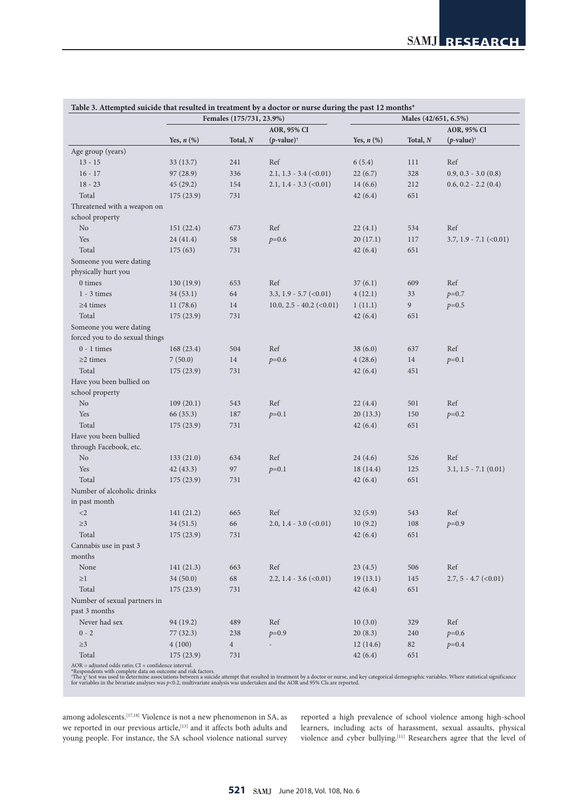|                                | Table 3. Attempted suicide that resulted in treatment by a doctor or nurse during the past 12 months*<br>Females (175/731, 23.9%) |                 |                            | Males (42/651, 6.5%) |            |                           |
|--------------------------------|-----------------------------------------------------------------------------------------------------------------------------------|-----------------|----------------------------|----------------------|------------|---------------------------|
|                                |                                                                                                                                   |                 | AOR, 95% CI                |                      |            | AOR, 95% CI               |
|                                | Yes, $n$ $(\%)$                                                                                                                   | Total, $N$      | $(p$ -value) <sup>†</sup>  | Yes, $n$ $(\%)$      | Total, $N$ | $(p$ -value) <sup>†</sup> |
| Age group (years)              |                                                                                                                                   |                 |                            |                      |            |                           |
| $13 - 15$                      | 33(13.7)                                                                                                                          | 241             | Ref                        | 6(5.4)               | 111        | Ref                       |
| $16 - 17$                      | 97 (28.9)                                                                                                                         | 336             | $2.1, 1.3 - 3.4$ (<0.01)   | 22(6.7)              | 328        | $0.9, 0.3 - 3.0$ $(0.8)$  |
| $18 - 23$                      | 45(29.2)                                                                                                                          | 154             | $2.1, 1.4 - 3.3$ (<0.01)   | 14(6.6)              | 212        | $0.6, 0.2 - 2.2(0.4)$     |
| Total                          | 175(23.9)                                                                                                                         | 731             |                            | 42(6.4)              | 651        |                           |
| Threatened with a weapon on    |                                                                                                                                   |                 |                            |                      |            |                           |
| school property                |                                                                                                                                   |                 |                            |                      |            |                           |
| No                             | 151(22.4)                                                                                                                         | 673             | Ref                        | 22(4.1)              | 534        | Ref                       |
| Yes                            | 24 (41.4)                                                                                                                         | 58              | $p=0.6$                    | 20(17.1)             | 117        | $3.7, 1.9 - 7.1$ (<0.01)  |
| Total                          | 175(63)                                                                                                                           | 731             |                            | 42(6.4)              | 651        |                           |
| Someone you were dating        |                                                                                                                                   |                 |                            |                      |            |                           |
| physically hurt you            |                                                                                                                                   |                 |                            |                      |            |                           |
| 0 times                        | 130(19.9)                                                                                                                         | 653             | Ref                        | 37(6.1)              | 609        | Ref                       |
| $1 - 3$ times                  | 34(53.1)                                                                                                                          | 64              | $3.3, 1.9 - 5.7$ (<0.01)   | 4(12.1)              | 33         | $p=0.7$                   |
| $\geq$ 4 times                 | 11(78.6)                                                                                                                          | 14              | $10.0, 2.5 - 40.2$ (<0.01) | 1(11.1)              | 9          | $p=0.5$                   |
| Total                          | 175(23.9)                                                                                                                         | 731             |                            | 42(6.4)              | 651        |                           |
| Someone you were dating        |                                                                                                                                   |                 |                            |                      |            |                           |
| forced you to do sexual things |                                                                                                                                   |                 |                            |                      |            |                           |
| $0 - 1$ times                  | 168(23.4)                                                                                                                         | 504             | Ref                        | 38(6.0)              | 637        | Ref                       |
| $\geq$ 2 times                 | 7(50.0)                                                                                                                           | 14              | $p=0.6$                    | 4(28.6)              | 14         | $p=0.1$                   |
| Total                          | 175(23.9)                                                                                                                         | 731             |                            | 42(6.4)              | 451        |                           |
| Have you been bullied on       |                                                                                                                                   |                 |                            |                      |            |                           |
| school property                |                                                                                                                                   |                 |                            |                      |            |                           |
| $\rm No$                       | 109(20.1)                                                                                                                         | 543             | Ref                        | 22(4.4)              | 501        | Ref                       |
| Yes                            | 66 (35.3)                                                                                                                         | 187             | $p=0.1$                    | 20(13.3)             | 150        | $p=0.2$                   |
| Total                          | 175(23.9)                                                                                                                         | 731             |                            | 42(6.4)              | 651        |                           |
| Have you been bullied          |                                                                                                                                   |                 |                            |                      |            |                           |
| through Facebook, etc.         |                                                                                                                                   |                 |                            |                      |            |                           |
| No                             | 133(21.0)                                                                                                                         | 634             | Ref                        | 24(4.6)              | 526        | Ref                       |
| Yes                            | 42(43.3)                                                                                                                          | 97              | $p=0.1$                    | 18(14.4)             | 125        | $3.1, 1.5 - 7.1$ $(0.01)$ |
| Total                          | 175(23.9)                                                                                                                         | 731             |                            | 42(6.4)              | 651        |                           |
| Number of alcoholic drinks     |                                                                                                                                   |                 |                            |                      |            |                           |
| in past month                  |                                                                                                                                   |                 |                            |                      |            |                           |
| $<$ 2                          | 141(21.2)                                                                                                                         | 665             | Ref                        | 32(5.9)              | 543        | Ref                       |
| $\geq$ 3                       | 34 (51.5)                                                                                                                         | 66              | $2.0, 1.4 - 3.0$ (<0.01)   | 10(9.2)              | 108        | $p=0.9$                   |
| Total                          | 175 (23.9)                                                                                                                        | $731\,$         |                            | 42(6.4)              | 651        |                           |
| Cannabis use in past 3         |                                                                                                                                   |                 |                            |                      |            |                           |
| months                         |                                                                                                                                   |                 |                            |                      |            |                           |
| None                           | 141(21.3)                                                                                                                         | 663             | Ref                        | 23(4.5)              | 506        | Ref                       |
| $\geq$ 1                       | 34(50.0)                                                                                                                          | 68              | 2.2, 1.4 - 3.6 $(<0.01)$   | 19(13.1)             | 145        | $2.7, 5 - 4.7 \; (<0.01)$ |
| Total                          | 175(23.9)                                                                                                                         | 731             |                            | 42(6.4)              | 651        |                           |
| Number of sexual partners in   |                                                                                                                                   |                 |                            |                      |            |                           |
| past 3 months                  |                                                                                                                                   |                 |                            |                      |            |                           |
| Never had sex                  | 94 (19.2)                                                                                                                         | 489             | Ref                        | 10(3.0)              | 329        | Ref                       |
| $0 - 2$                        | 77 (32.3)                                                                                                                         | 238             | $p=0.9$                    | 20(8.3)              | 240        | $p=0.6$                   |
| ${\geq}3$                      | 4(100)                                                                                                                            | $4\overline{ }$ |                            | 12(14.6)             | 82         | $p=0.4$                   |
| Total                          | 175(23.9)                                                                                                                         | 731             |                            | 42(6.4)              | 651        |                           |

AOR = adjusted odds ratio; CI = confidence interval.<br>\*Respondents with complete data on outcome and risk factors.<br>"The χ\* test was used to determine associations between a suicide attempt that resulted in treatment by a do

among adolescents.[17,18] Violence is not a new phenomenon in SA, as we reported in our previous article,<sup>[13]</sup> and it affects both adults and young people. For instance, the SA school violence national survey

reported a high prevalence of school violence among high-school learners, including acts of harassment, sexual assaults, physical violence and cyber bullying.<sup>[11]</sup> Researchers agree that the level of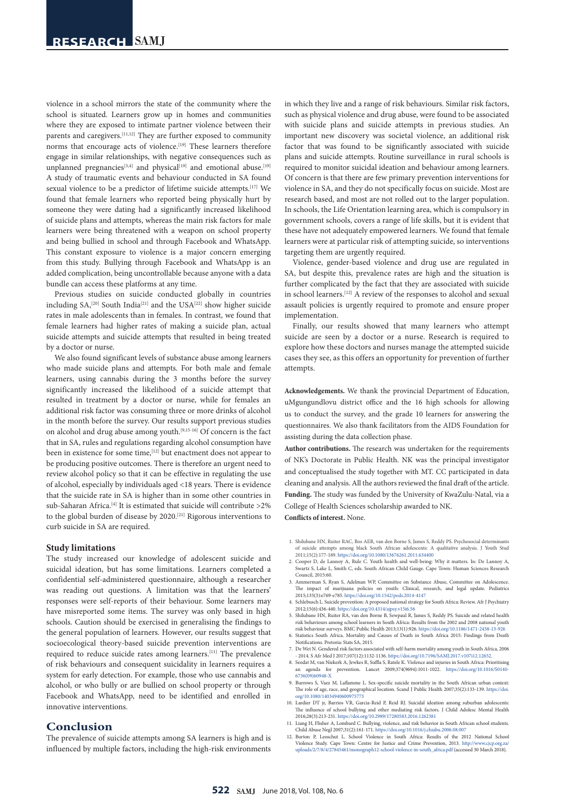violence in a school mirrors the state of the community where the school is situated. Learners grow up in homes and communities where they are exposed to intimate partner violence between their parents and caregivers.<sup>[11,12]</sup> They are further exposed to community norms that encourage acts of violence.<sup>[19]</sup> These learners therefore engage in similar relationships, with negative consequences such as unplanned pregnancies<sup>[3,4]</sup> and physical<sup>[19]</sup> and emotional abuse.<sup>[19]</sup> A study of traumatic events and behaviour conducted in SA found sexual violence to be a predictor of lifetime suicide attempts.<sup>[17]</sup> We found that female learners who reported being physically hurt by someone they were dating had a significantly increased likelihood of suicide plans and attempts, whereas the main risk factors for male learners were being threatened with a weapon on school property and being bullied in school and through Facebook and WhatsApp. This constant exposure to violence is a major concern emerging from this study. Bullying through Facebook and WhatsApp is an added complication, being uncontrollable because anyone with a data bundle can access these platforms at any time.

Previous studies on suicide conducted globally in countries including  $SA<sub>1</sub><sup>[20]</sup>$  South India<sup>[21]</sup> and the USA<sup>[22]</sup> show higher suicide rates in male adolescents than in females. In contrast, we found that female learners had higher rates of making a suicide plan, actual suicide attempts and suicide attempts that resulted in being treated by a doctor or nurse.

We also found significant levels of substance abuse among learners who made suicide plans and attempts. For both male and female learners, using cannabis during the 3 months before the survey significantly increased the likelihood of a suicide attempt that resulted in treatment by a doctor or nurse, while for females an additional risk factor was consuming three or more drinks of alcohol in the month before the survey. Our results support previous studies on alcohol and drug abuse among youth.[9,15-16] Of concern is the fact that in SA, rules and regulations regarding alcohol consumption have been in existence for some time,<sup>[12]</sup> but enactment does not appear to be producing positive outcomes. There is therefore an urgent need to review alcohol policy so that it can be effective in regulating the use of alcohol, especially by individuals aged <18 years. There is evidence that the suicide rate in SA is higher than in some other countries in sub-Saharan Africa.<sup>[4]</sup> It is estimated that suicide will contribute >2% to the global burden of disease by 2020.[21] Rigorous interventions to curb suicide in SA are required.

#### **Study limitations**

The study increased our knowledge of adolescent suicide and suicidal ideation, but has some limitations. Learners completed a confidential self-administered questionnaire, although a researcher was reading out questions. A limitation was that the learners' responses were self-reports of their behaviour. Some learners may have misreported some items. The survey was only based in high schools. Caution should be exercised in generalising the findings to the general population of learners. However, our results suggest that socioecological theory-based suicide prevention interventions are required to reduce suicide rates among learners.[11] The prevalence of risk behaviours and consequent suicidality in learners requires a system for early detection. For example, those who use cannabis and alcohol, or who bully or are bullied on school property or through Facebook and WhatsApp, need to be identified and enrolled in innovative interventions.

# **Conclusion**

The prevalence of suicide attempts among SA learners is high and is influenced by multiple factors, including the high-risk environments

in which they live and a range of risk behaviours. Similar risk factors, such as physical violence and drug abuse, were found to be associated with suicide plans and suicide attempts in previous studies. An important new discovery was societal violence, an additional risk factor that was found to be significantly associated with suicide plans and suicide attempts. Routine surveillance in rural schools is required to monitor suicidal ideation and behaviour among learners. Of concern is that there are few primary prevention interventions for violence in SA, and they do not specifically focus on suicide. Most are research based, and most are not rolled out to the larger population. In schools, the Life Orientation learning area, which is compulsory in government schools, covers a range of life skills, but it is evident that these have not adequately empowered learners. We found that female learners were at particular risk of attempting suicide, so interventions targeting them are urgently required.

Violence, gender-based violence and drug use are regulated in SA, but despite this, prevalence rates are high and the situation is further complicated by the fact that they are associated with suicide in school learners.[12] A review of the responses to alcohol and sexual assault policies is urgently required to promote and ensure proper implementation.

Finally, our results showed that many learners who attempt suicide are seen by a doctor or a nurse. Research is required to explore how these doctors and nurses manage the attempted suicide cases they see, as this offers an opportunity for prevention of further attempts.

**Acknowledgements.** We thank the provincial Department of Education, uMgungundlovu district office and the 16 high schools for allowing us to conduct the survey, and the grade 10 learners for answering the questionnaires. We also thank facilitators from the AIDS Foundation for assisting during the data collection phase.

**Author contributions.** The research was undertaken for the requirements of NK's Doctorate in Public Health. NK was the principal investigator and conceptualised the study together with MT. CC participated in data cleaning and analysis. All the authors reviewed the final draft of the article. **Funding.** The study was funded by the University of KwaZulu-Natal, via a College of Health Sciences scholarship awarded to NK.

**Conflicts of interest.** None.

- 1. Shilubane HN, Ruiter RAC, Bos AER, van den Borne S, James S, Reddy PS. Psychosocial determinants of suicide attempts among black South African adolescents: A qualitative analysis. J Youth Stud<br>2011;15(2):177-189.https://doi.org/10.1080/13676261.2011.634400<br>2. Cooper D, de Lannoy A, Rule C. Youth health and well-being:
- Swartz S, Lake L, Smith C, eds. South African Child Gauge. Cape Town: Human Sciences Research Council, 2015:60.
- 3. Ammerman S, Ryan S, Adelman WP, Committee on Substance Abuse, Committee on Adolescence. The impact of marijuana policies on youth: Clinical, research, and legal update. Pediatrics<br>2015;135(3):e769-e785.https://do.i.org[/10.1542/peds.2014-4147](https://doi.org/10.1542/peds.2014-4147)<br>4. Schlebusch L. Suicide prevention: A proposed national strategy fo
- 2012;15(6):436-440. https://doi.org/10.4314/ajpsy.v15i6.56 5. Shilubane HN, Ruiter RA, van den Borne B, Sewpaul R, James S, Reddy PS. Suicide and related health
- risk behaviours among school learners in South Africa: Results from the 2002 and 2008 national youth risk behaviour surveys. BMC Public Health 2013;13(1):926. <https://doi.org/10.1186/1471-2458-13-926>
- 6. Statistics South Africa. Mortality and Causes of Death in South Africa 2015: Findings from Death Notifications. Pretoria: Stats SA, 2015.
- 7. De Wet N. Gendered risk factors associated with self-harm mortality among youth in South Africa, 2006<br>- 2014. S Afr Med J 2017;107(12):1132-1136. https://doi.org/10.7196/SAMJ.2017.v107i12.12652.<br>8. Seedat M, van Niekerk
- an agenda for prevention. Lancet 2009;374(9694):1011-1022. [https://doi.org/10.1016/S0140-](https://doi.org/10.1016/S0140-6736(09)60948-X ) [6736\(09\)60948-X](https://doi.org/10.1016/S0140-6736(09)60948-X )
- 9. Burrows S, Vaez M, Laflamme L. Sex-specific suicide mortality in the South African urban context: The role of age, race, and geographical location. Scand J Public Health 2007;35(2):133-139. [https://doi.](https://doi.org/10.1080/14034940600975773 ) [org/10.1080/14034940600975773](https://doi.org/10.1080/14034940600975773 )
- 10. Lardier DT jr, Barrios VR, Garcia-Reid P, Reid RJ. Suicidal ideation among suburban adolescents: The influence of school bullying and other mediating risk factors. J Child Adolesc Mental Health
- 2016;28(3):213-231. https://doi.org/10.2989/17280583.2016.1262381 11. Liang H, Flisher A, Lombard C. Bullying, violence, and risk behavior in South African school students. Child Abuse Negl 2007;31(2):161-171. https://doi.org/10.1016/j.chiabu.2006.08.007 12. Burton P, Leoschut L. School Violence in South Africa: Results of the 2012 National School
- Violence Study. Cape Town: Centre for Justice and Crime Prevention, 2013. [http://www.cjcp.org.za/](http://www.cjcp.org.za/uploads/2/7/8/4/27845461/monograph12-school-violence-in-south_africa.pdf) [uploads/2/7/8/4/27845461/monograph12-school-violence-in-south\\_africa.pdf](http://www.cjcp.org.za/uploads/2/7/8/4/27845461/monograph12-school-violence-in-south_africa.pdf) (accessed 30 March 2018).